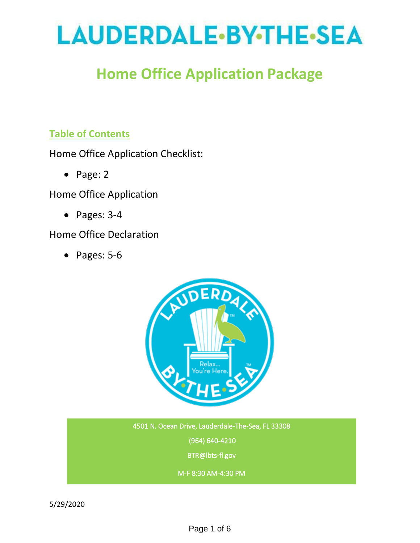# LAUDERDALE.BY.THE.SEA

## **Home Office Application Package**

### **Table of Contents**

Home Office Application Checklist:

• Page: 2

Home Office Application

• Pages: 3-4

#### Home Office Declaration

• Pages: 5-6



4501 N. Ocean Drive, Lauderdale-The-Sea, FL 33308 (964) 640-4210 BTR@lbts-fl.gov

M-F 8:30 AM-4:30 PM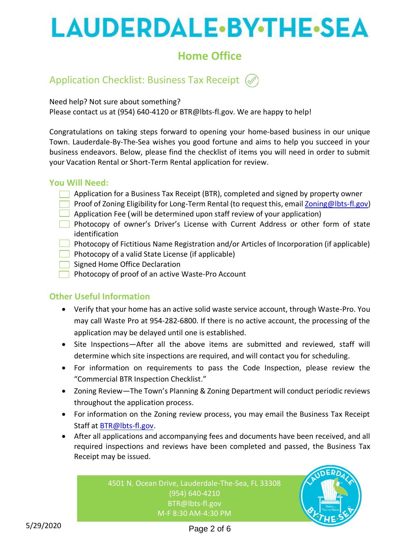# **LAUDERDALE-BY-THE-SEA**

### **Home Office**

### Application Checklist: Business Tax Receipt (

Need help? Not sure about something?

Please contact us at (954) 640-4120 or BTR@lbts-fl.gov. We are happy to help!

Congratulations on taking steps forward to opening your home-based business in our unique Town. Lauderdale-By-The-Sea wishes you good fortune and aims to help you succeed in your business endeavors. Below, please find the checklist of items you will need in order to submit your Vacation Rental or Short-Term Rental application for review.

#### **You Will Need:**

- **Application for a Business Tax Receipt (BTR), completed and signed by property owner**
- **Proof of Zoning Eligibility for Long-Term Rental (to request this, emai[l Zoning@lbts-fl.gov\)](mailto:Zoning@lbts-fl.gov)**
- $\Box$  Application Fee (will be determined upon staff review of your application)
- Photocopy of owner's Driver's License with Current Address or other form of state identification
- $\Box$  Photocopy of Fictitious Name Registration and/or Articles of Incorporation (if applicable)
- $\Box$  Photocopy of a valid State License (if applicable)
- Signed Home Office Declaration
- Photocopy of proof of an active Waste-Pro Account

#### **Other Useful Information**

- Verify that your home has an active solid waste service account, through Waste-Pro. You may call Waste Pro at 954-282-6800. If there is no active account, the processing of the application may be delayed until one is established.
- Site Inspections—After all the above items are submitted and reviewed, staff will determine which site inspections are required, and will contact you for scheduling.
- For information on requirements to pass the Code Inspection, please review the "Commercial BTR Inspection Checklist."
- Zoning Review—The Town's Planning & Zoning Department will conduct periodic reviews throughout the application process.
- For information on the Zoning review process, you may email the Business Tax Receipt Staff at [BTR@lbts-fl.gov.](mailto:BTR@LBTS-FL.gov)
- After all applications and accompanying fees and documents have been received, and all required inspections and reviews have been completed and passed, the Business Tax Receipt may be issued.

4501 N. Ocean Drive, Lauderdale-The-Sea, FL 33308 (954) 640-4210 BTR@lbts-fl.gov M-F 8:30 AM-4:30 PM

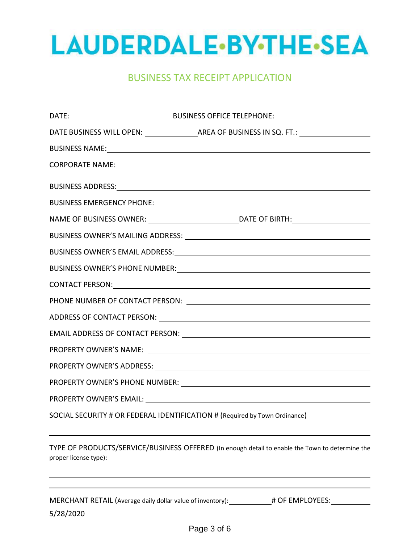

#### BUSINESS TAX RECEIPT APPLICATION

| CORPORATE NAME: University of the contract of the contract of the contract of the contract of the contract of the contract of the contract of the contract of the contract of the contract of the contract of the contract of  |
|--------------------------------------------------------------------------------------------------------------------------------------------------------------------------------------------------------------------------------|
|                                                                                                                                                                                                                                |
|                                                                                                                                                                                                                                |
|                                                                                                                                                                                                                                |
|                                                                                                                                                                                                                                |
|                                                                                                                                                                                                                                |
| BUSINESS OWNER'S PHONE NUMBER: New York State State State State State State State State State State State State State State State State State State State State State State State State State State State State State State St |
|                                                                                                                                                                                                                                |
|                                                                                                                                                                                                                                |
|                                                                                                                                                                                                                                |
|                                                                                                                                                                                                                                |
|                                                                                                                                                                                                                                |
|                                                                                                                                                                                                                                |
|                                                                                                                                                                                                                                |
|                                                                                                                                                                                                                                |
| SOCIAL SECURITY # OR FEDERAL IDENTIFICATION # (Required by Town Ordinance)                                                                                                                                                     |

TYPE OF PRODUCTS/SERVICE/BUSINESS OFFERED (In enough detail to enable the Town to determine the proper license type):

5/28/2020 MERCHANT RETAIL (Average daily dollar value of inventory): \_\_\_\_\_\_\_\_\_\_\_# OF EMPLOYEES: \_\_\_\_\_\_\_\_\_\_\_\_\_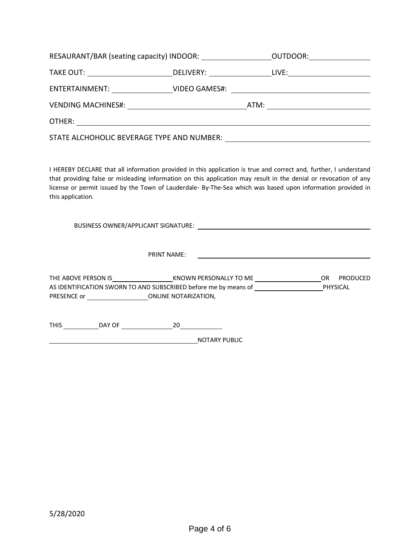| RESAURANT/BAR (seating capacity) INDOOR: ______________________OUTDOOR: _________                    |  |  |
|------------------------------------------------------------------------------------------------------|--|--|
| TAKE OUT: _______________________________DELIVERY: _____________________LIVE:_______________________ |  |  |
| ENTERTAINMENT: __________________VIDEO GAMES#: _________________________________                     |  |  |
|                                                                                                      |  |  |
|                                                                                                      |  |  |
|                                                                                                      |  |  |

I HEREBY DECLARE that all information provided in this application is true and correct and, further, I understand that providing false or misleading information on this application may result in the denial or revocation of any license or permit issued by the Town of Lauderdale- By-The-Sea which was based upon information provided in this application.

BUSINESS OWNER/APPLICANT SIGNATURE: PRINT NAME: <u> 1989 - Johann Barn, mars eta bainar eta baina eta baina eta baina eta baina eta baina eta baina eta baina e</u> THE ABOVE PERSON IS KNOWN PERSONALLY TO ME OR PRODUCED AS IDENTIFICATION SWORN TO AND SUBSCRIBED before me by means of PHYSICAL PRESENCE or \_\_\_\_\_\_\_\_\_\_\_\_\_\_\_\_\_\_\_\_\_\_\_\_\_\_\_\_\_ONLINE NOTARIZATION,

THIS DAY OF 20

NOTARY PUBLIC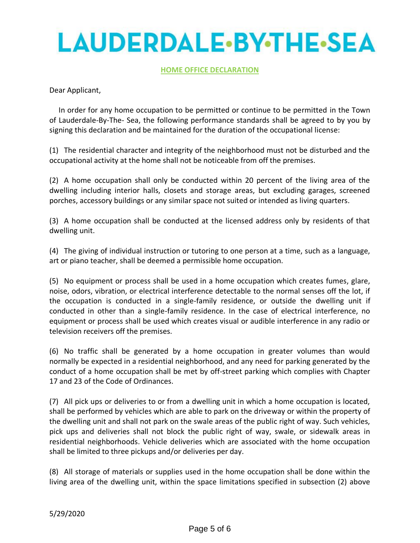# **LAUDERDALE-BY-THE-SEA**

#### **HOME OFFICE DECLARATION**

Dear Applicant,

 In order for any home occupation to be permitted or continue to be permitted in the Town of Lauderdale-By-The- Sea, the following performance standards shall be agreed to by you by signing this declaration and be maintained for the duration of the occupational license:

(1) The residential character and integrity of the neighborhood must not be disturbed and the occupational activity at the home shall not be noticeable from off the premises.

(2) A home occupation shall only be conducted within 20 percent of the living area of the dwelling including interior halls, closets and storage areas, but excluding garages, screened porches, accessory buildings or any similar space not suited or intended as living quarters.

(3) A home occupation shall be conducted at the licensed address only by residents of that dwelling unit.

(4) The giving of individual instruction or tutoring to one person at a time, such as a language, art or piano teacher, shall be deemed a permissible home occupation.

(5) No equipment or process shall be used in a home occupation which creates fumes, glare, noise, odors, vibration, or electrical interference detectable to the normal senses off the lot, if the occupation is conducted in a single-family residence, or outside the dwelling unit if conducted in other than a single-family residence. In the case of electrical interference, no equipment or process shall be used which creates visual or audible interference in any radio or television receivers off the premises.

(6) No traffic shall be generated by a home occupation in greater volumes than would normally be expected in a residential neighborhood, and any need for parking generated by the conduct of a home occupation shall be met by off-street parking which complies with Chapter 17 and 23 of the Code of Ordinances.

(7) All pick ups or deliveries to or from a dwelling unit in which a home occupation is located, shall be performed by vehicles which are able to park on the driveway or within the property of the dwelling unit and shall not park on the swale areas of the public right of way. Such vehicles, pick ups and deliveries shall not block the public right of way, swale, or sidewalk areas in residential neighborhoods. Vehicle deliveries which are associated with the home occupation shall be limited to three pickups and/or deliveries per day.

(8) All storage of materials or supplies used in the home occupation shall be done within the living area of the dwelling unit, within the space limitations specified in subsection (2) above